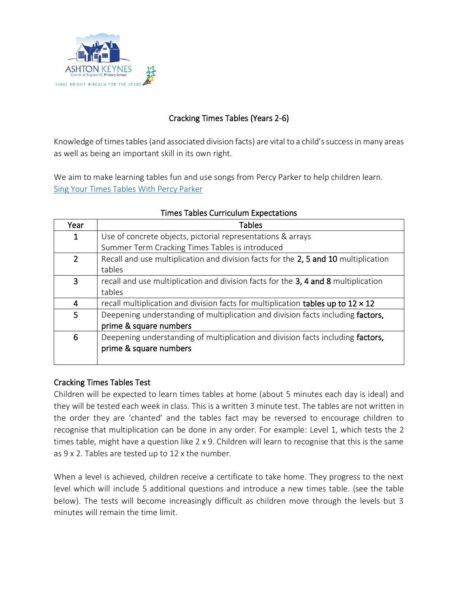

# Cracking Times Tables (Years 2-6)

Knowledge of times tables (and associated division facts) are vital to a child's success in many areas as well as being an important skill in its own right.

We aim to make learning tables fun and use songs from Percy Parker to help children learn. [Sing Your Times Tables With Percy Parker](http://www.percyparker.com/)

| Year           | <b>Tables</b>                                                                           |
|----------------|-----------------------------------------------------------------------------------------|
| 1              | Use of concrete objects, pictorial representations & arrays                             |
|                | Summer Term Cracking Times Tables is introduced                                         |
| $\overline{2}$ | Recall and use multiplication and division facts for the 2, 5 and 10 multiplication     |
|                | tables                                                                                  |
| 3              | recall and use multiplication and division facts for the 3, 4 and 8 multiplication      |
|                | tables                                                                                  |
| 4              | recall multiplication and division facts for multiplication tables up to $12 \times 12$ |
| 5              | Deepening understanding of multiplication and division facts including factors,         |
|                | prime & square numbers                                                                  |
| 6              | Deepening understanding of multiplication and division facts including factors,         |
|                | prime & square numbers                                                                  |
|                |                                                                                         |

#### Times Tables Curriculum Expectations

### Cracking Times Tables Test

Children will be expected to learn times tables at home (about 5 minutes each day is ideal) and they will be tested each week in class. This is a written 3 minute test. The tables are not written in the order they are 'chanted' and the tables fact may be reversed to encourage children to recognise that multiplication can be done in any order. For example: Level 1, which tests the 2 times table, might have a question like 2 x 9. Children will learn to recognise that this is the same as 9 x 2. Tables are tested up to 12 x the number.

When a level is achieved, children receive a certificate to take home. They progress to the next level which will include 5 additional questions and introduce a new times table. (see the table below). The tests will become increasingly difficult as children move through the levels but 3 minutes will remain the time limit.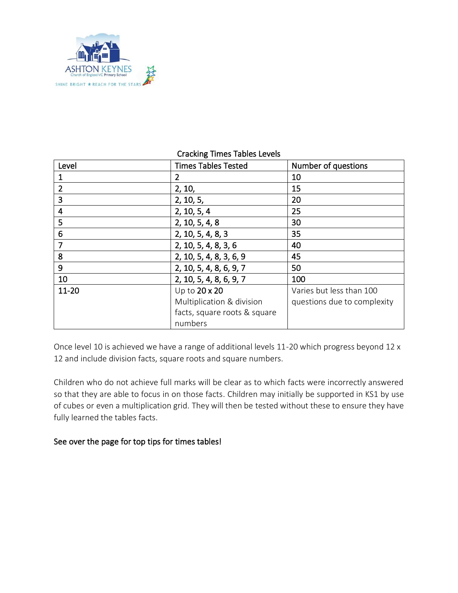

#### Cracking Times Tables Levels

| Level          | <b>Times Tables Tested</b>   | Number of questions         |
|----------------|------------------------------|-----------------------------|
|                | 2                            | 10                          |
| $\overline{2}$ | 2, 10,                       | 15                          |
| 3              | 2, 10, 5,                    | 20                          |
| 4              | 2, 10, 5, 4                  | 25                          |
| 5              | 2, 10, 5, 4, 8               | 30                          |
| 6              | 2, 10, 5, 4, 8, 3            | 35                          |
| 7              | 2, 10, 5, 4, 8, 3, 6         | 40                          |
| 8              | 2, 10, 5, 4, 8, 3, 6, 9      | 45                          |
| 9              | 2, 10, 5, 4, 8, 6, 9, 7      | 50                          |
| 10             | 2, 10, 5, 4, 8, 6, 9, 7      | 100                         |
| 11-20          | Up to 20 x 20                | Varies but less than 100    |
|                | Multiplication & division    | questions due to complexity |
|                | facts, square roots & square |                             |
|                | numbers                      |                             |

Once level 10 is achieved we have a range of additional levels 11-20 which progress beyond 12 x 12 and include division facts, square roots and square numbers.

Children who do not achieve full marks will be clear as to which facts were incorrectly answered so that they are able to focus in on those facts. Children may initially be supported in KS1 by use of cubes or even a multiplication grid. They will then be tested without these to ensure they have fully learned the tables facts.

### See over the page for top tips for times tables!